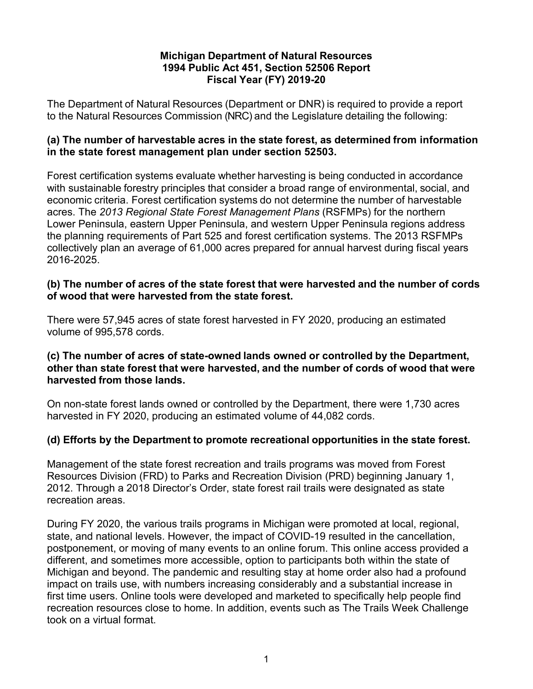## **Michigan Department of Natural Resources 1994 Public Act 451, Section 52506 Report Fiscal Year (FY) 2019-20**

The Department of Natural Resources (Department or DNR) is required to provide a report to the Natural Resources Commission (NRC) and the Legislature detailing the following:

#### **(a) The number of harvestable acres in the state forest, as determined from information in the state forest management plan under section 52503.**

Forest certification systems evaluate whether harvesting is being conducted in accordance with sustainable forestry principles that consider a broad range of environmental, social, and economic criteria. Forest certification systems do not determine the number of harvestable acres. The *2013 Regional State Forest Management Plans* (RSFMPs) for the northern Lower Peninsula, eastern Upper Peninsula, and western Upper Peninsula regions address the planning requirements of Part 525 and forest certification systems. The 2013 RSFMPs collectively plan an average of 61,000 acres prepared for annual harvest during fiscal years 2016-2025.

### **(b) The number of acres of the state forest that were harvested and the number of cords of wood that were harvested from the state forest.**

There were 57,945 acres of state forest harvested in FY 2020, producing an estimated volume of 995,578 cords.

## **(c) The number of acres of state-owned lands owned or controlled by the Department, other than state forest that were harvested, and the number of cords of wood that were harvested from those lands.**

On non-state forest lands owned or controlled by the Department, there were 1,730 acres harvested in FY 2020, producing an estimated volume of 44,082 cords.

# **(d) Efforts by the Department to promote recreational opportunities in the state forest.**

Management of the state forest recreation and trails programs was moved from Forest Resources Division (FRD) to Parks and Recreation Division (PRD) beginning January 1, 2012. Through a 2018 Director's Order, state forest rail trails were designated as state recreation areas.

During FY 2020, the various trails programs in Michigan were promoted at local, regional, state, and national levels. However, the impact of COVID-19 resulted in the cancellation, postponement, or moving of many events to an online forum. This online access provided a different, and sometimes more accessible, option to participants both within the state of Michigan and beyond. The pandemic and resulting stay at home order also had a profound impact on trails use, with numbers increasing considerably and a substantial increase in first time users. Online tools were developed and marketed to specifically help people find recreation resources close to home. In addition, events such as The Trails Week Challenge took on a virtual format.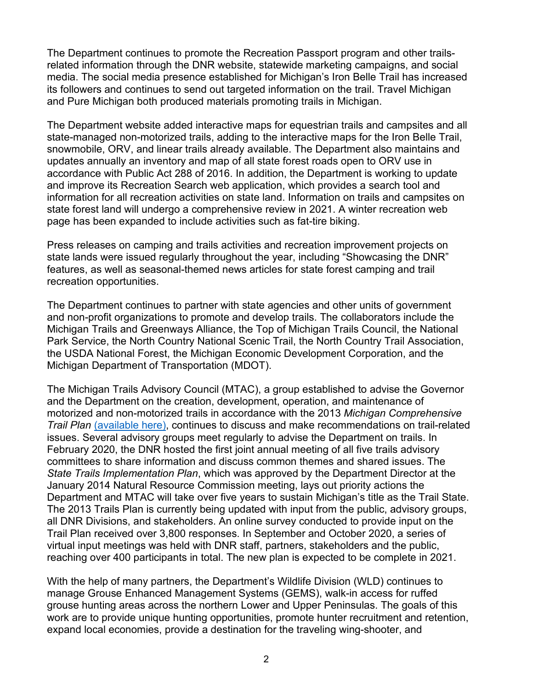The Department continues to promote the Recreation Passport program and other trailsrelated information through the DNR website, statewide marketing campaigns, and social media. The social media presence established for Michigan's Iron Belle Trail has increased its followers and continues to send out targeted information on the trail. Travel Michigan and Pure Michigan both produced materials promoting trails in Michigan.

The Department website added interactive maps for equestrian trails and campsites and all state-managed non-motorized trails, adding to the interactive maps for the Iron Belle Trail, snowmobile, ORV, and linear trails already available. The Department also maintains and updates annually an inventory and map of all state forest roads open to ORV use in accordance with Public Act 288 of 2016. In addition, the Department is working to update and improve its Recreation Search web application, which provides a search tool and information for all recreation activities on state land. Information on trails and campsites on state forest land will undergo a comprehensive review in 2021. A winter recreation web page has been expanded to include activities such as fat-tire biking.

Press releases on camping and trails activities and recreation improvement projects on state lands were issued regularly throughout the year, including "Showcasing the DNR" features, as well as seasonal-themed news articles for state forest camping and trail recreation opportunities.

The Department continues to partner with state agencies and other units of government and non-profit organizations to promote and develop trails. The collaborators include the Michigan Trails and Greenways Alliance, the Top of Michigan Trails Council, the National Park Service, the North Country National Scenic Trail, the North Country Trail Association, the USDA National Forest, the Michigan Economic Development Corporation, and the Michigan Department of Transportation (MDOT).

The Michigan Trails Advisory Council (MTAC), a group established to advise the Governor and the Department on the creation, development, operation, and maintenance of motorized and non-motorized trails in accordance with the 2013 *Michigan Comprehensive Trail Plan* [\(available here\),](https://www.michigan.gov/documents/dnr/MI_Comprehensive_Trail_Plan_425377_7.pdf) continues to discuss and make recommendations on trail-related issues. Several advisory groups meet regularly to advise the Department on trails. In February 2020, the DNR hosted the first joint annual meeting of all five trails advisory committees to share information and discuss common themes and shared issues. The *State Trails Implementation Plan*, which was approved by the Department Director at the January 2014 Natural Resource Commission meeting, lays out priority actions the Department and MTAC will take over five years to sustain Michigan's title as the Trail State. The 2013 Trails Plan is currently being updated with input from the public, advisory groups, all DNR Divisions, and stakeholders. An online survey conducted to provide input on the Trail Plan received over 3,800 responses. In September and October 2020, a series of virtual input meetings was held with DNR staff, partners, stakeholders and the public, reaching over 400 participants in total. The new plan is expected to be complete in 2021.

With the help of many partners, the Department's Wildlife Division (WLD) continues to manage Grouse Enhanced Management Systems (GEMS), walk-in access for ruffed grouse hunting areas across the northern Lower and Upper Peninsulas. The goals of this work are to provide unique hunting opportunities, promote hunter recruitment and retention, expand local economies, provide a destination for the traveling wing-shooter, and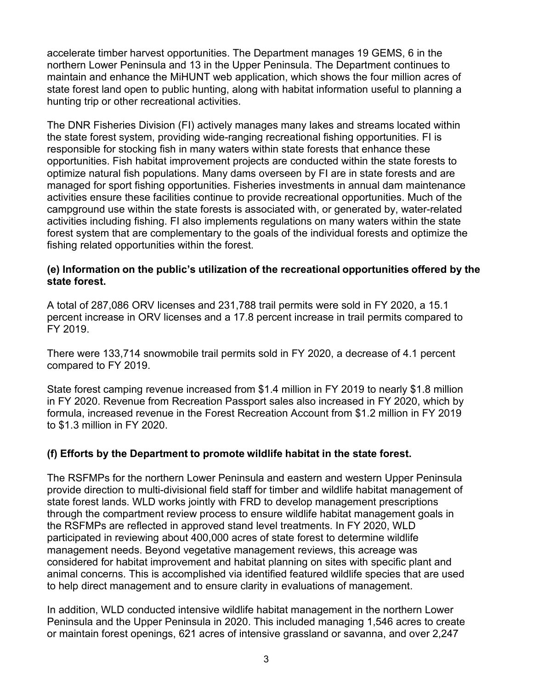accelerate timber harvest opportunities. The Department manages 19 GEMS, 6 in the northern Lower Peninsula and 13 in the Upper Peninsula. The Department continues to maintain and enhance the MiHUNT web application, which shows the four million acres of state forest land open to public hunting, along with habitat information useful to planning a hunting trip or other recreational activities.

The DNR Fisheries Division (FI) actively manages many lakes and streams located within the state forest system, providing wide-ranging recreational fishing opportunities. FI is responsible for stocking fish in many waters within state forests that enhance these opportunities. Fish habitat improvement projects are conducted within the state forests to optimize natural fish populations. Many dams overseen by FI are in state forests and are managed for sport fishing opportunities. Fisheries investments in annual dam maintenance activities ensure these facilities continue to provide recreational opportunities. Much of the campground use within the state forests is associated with, or generated by, water-related activities including fishing. FI also implements regulations on many waters within the state forest system that are complementary to the goals of the individual forests and optimize the fishing related opportunities within the forest.

## **(e) Information on the public's utilization of the recreational opportunities offered by the state forest.**

A total of 287,086 ORV licenses and 231,788 trail permits were sold in FY 2020, a 15.1 percent increase in ORV licenses and a 17.8 percent increase in trail permits compared to FY 2019.

There were 133,714 snowmobile trail permits sold in FY 2020, a decrease of 4.1 percent compared to FY 2019.

State forest camping revenue increased from \$1.4 million in FY 2019 to nearly \$1.8 million in FY 2020. Revenue from Recreation Passport sales also increased in FY 2020, which by formula, increased revenue in the Forest Recreation Account from \$1.2 million in FY 2019 to \$1.3 million in FY 2020.

# **(f) Efforts by the Department to promote wildlife habitat in the state forest.**

The RSFMPs for the northern Lower Peninsula and eastern and western Upper Peninsula provide direction to multi-divisional field staff for timber and wildlife habitat management of state forest lands. WLD works jointly with FRD to develop management prescriptions through the compartment review process to ensure wildlife habitat management goals in the RSFMPs are reflected in approved stand level treatments. In FY 2020, WLD participated in reviewing about 400,000 acres of state forest to determine wildlife management needs. Beyond vegetative management reviews, this acreage was considered for habitat improvement and habitat planning on sites with specific plant and animal concerns. This is accomplished via identified featured wildlife species that are used to help direct management and to ensure clarity in evaluations of management.

In addition, WLD conducted intensive wildlife habitat management in the northern Lower Peninsula and the Upper Peninsula in 2020. This included managing 1,546 acres to create or maintain forest openings, 621 acres of intensive grassland or savanna, and over 2,247